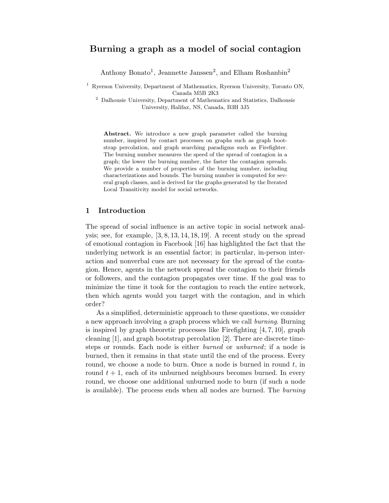# Burning a graph as a model of social contagion

Anthony Bonato<sup>1</sup>, Jeannette Janssen<sup>2</sup>, and Elham Roshanbin<sup>2</sup>

<sup>1</sup> Ryerson University, Department of Mathematics, Ryerson University, Toronto ON, Canada M5B 2K3

<sup>2</sup> Dalhousie University, Department of Mathematics and Statistics, Dalhousie University, Halifax, NS, Canada, B3H 3J5

Abstract. We introduce a new graph parameter called the burning number, inspired by contact processes on graphs such as graph bootstrap percolation, and graph searching paradigms such as Firefighter. The burning number measures the speed of the spread of contagion in a graph; the lower the burning number, the faster the contagion spreads. We provide a number of properties of the burning number, including characterizations and bounds. The burning number is computed for several graph classes, and is derived for the graphs generated by the Iterated Local Transitivity model for social networks.

# 1 Introduction

The spread of social influence is an active topic in social network analysis; see, for example,  $[3, 8, 13, 14, 18, 19]$ . A recent study on the spread of emotional contagion in Facebook [16] has highlighted the fact that the underlying network is an essential factor; in particular, in-person interaction and nonverbal cues are not necessary for the spread of the contagion. Hence, agents in the network spread the contagion to their friends or followers, and the contagion propagates over time. If the goal was to minimize the time it took for the contagion to reach the entire network, then which agents would you target with the contagion, and in which order?

As a simplified, deterministic approach to these questions, we consider a new approach involving a graph process which we call burning. Burning is inspired by graph theoretic processes like Firefighting  $[4, 7, 10]$ , graph cleaning [1], and graph bootstrap percolation [2]. There are discrete timesteps or rounds. Each node is either burned or unburned; if a node is burned, then it remains in that state until the end of the process. Every round, we choose a node to burn. Once a node is burned in round  $t$ , in round  $t + 1$ , each of its unburned neighbours becomes burned. In every round, we choose one additional unburned node to burn (if such a node is available). The process ends when all nodes are burned. The burning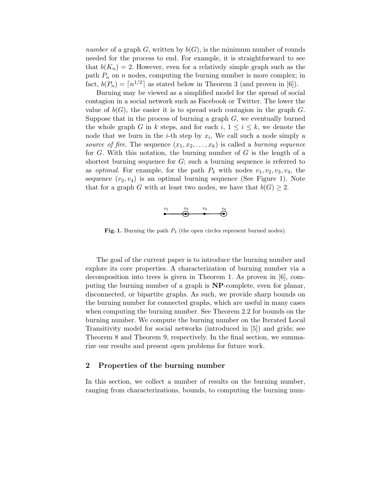number of a graph G, written by  $b(G)$ , is the minimum number of rounds needed for the process to end. For example, it is straightforward to see that  $b(K_n) = 2$ . However, even for a relatively simple graph such as the path  $P_n$  on n nodes, computing the burning number is more complex; in fact,  $b(P_n) = \lceil n^{1/2} \rceil$  as stated below in Theorem 3 (and proven in [6]).

Burning may be viewed as a simplified model for the spread of social contagion in a social network such as Facebook or Twitter. The lower the value of  $b(G)$ , the easier it is to spread such contagion in the graph G. Suppose that in the process of burning a graph  $G$ , we eventually burned the whole graph G in k steps, and for each i,  $1 \leq i \leq k$ , we denote the node that we burn in the *i*-th step by  $x_i$ . We call such a node simply a source of fire. The sequence  $(x_1, x_2, \ldots, x_k)$  is called a burning sequence for  $G$ . With this notation, the burning number of  $G$  is the length of a shortest burning sequence for  $G$ ; such a burning sequence is referred to as *optimal*. For example, for the path  $P_4$  with nodes  $v_1, v_2, v_3, v_4$ , the sequence  $(v_2, v_4)$  is an optimal burning sequence (See Figure 1). Note that for a graph G with at least two nodes, we have that  $b(G) \geq 2$ .



**Fig. 1.** Burning the path  $P_4$  (the open circles represent burned nodes).

The goal of the current paper is to introduce the burning number and explore its core properties. A characterization of burning number via a decomposition into trees is given in Theorem 1. As proven in [6], computing the burning number of a graph is NP-complete, even for planar, disconnected, or bipartite graphs. As such, we provide sharp bounds on the burning number for connected graphs, which are useful in many cases when computing the burning number. See Theorem 2.2 for bounds on the burning number. We compute the burning number on the Iterated Local Transitivity model for social networks (introduced in [5]) and grids; see Theorem 8 and Theorem 9, respectively. In the final section, we summarize our results and present open problems for future work.

#### 2 Properties of the burning number

In this section, we collect a number of results on the burning number, ranging from characterizations, bounds, to computing the burning num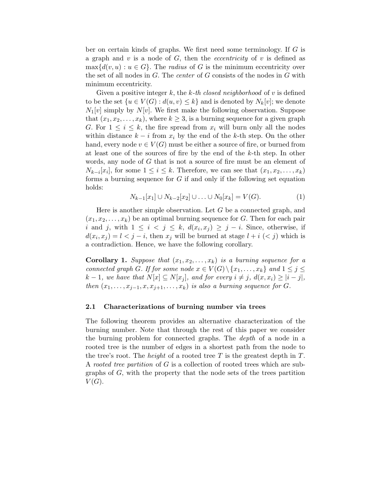ber on certain kinds of graphs. We first need some terminology. If G is a graph and v is a node of  $G$ , then the *eccentricity* of v is defined as  $\max\{d(v, u): u \in G\}$ . The *radius* of G is the minimum eccentricity over the set of all nodes in  $G$ . The *center* of  $G$  consists of the nodes in  $G$  with minimum eccentricity.

Given a positive integer k, the k-th closed neighborhood of  $v$  is defined to be the set  $\{u \in V(G) : d(u, v) \leq k\}$  and is denoted by  $N_k[v]$ ; we denote  $N_1[v]$  simply by  $N[v]$ . We first make the following observation. Suppose that  $(x_1, x_2, \ldots, x_k)$ , where  $k \geq 3$ , is a burning sequence for a given graph G. For  $1 \leq i \leq k$ , the fire spread from  $x_i$  will burn only all the nodes within distance  $k - i$  from  $x_i$  by the end of the k-th step. On the other hand, every node  $v \in V(G)$  must be either a source of fire, or burned from at least one of the sources of fire by the end of the k-th step. In other words, any node of G that is not a source of fire must be an element of  $N_{k-i}[x_i]$ , for some  $1 \leq i \leq k$ . Therefore, we can see that  $(x_1, x_2, \ldots, x_k)$ forms a burning sequence for  $G$  if and only if the following set equation holds:

$$
N_{k-1}[x_1] \cup N_{k-2}[x_2] \cup \ldots \cup N_0[x_k] = V(G).
$$
 (1)

Here is another simple observation. Let G be a connected graph, and  $(x_1, x_2, \ldots, x_k)$  be an optimal burning sequence for G. Then for each pair i and j, with  $1 \leq i \leq j \leq k$ ,  $d(x_i, x_j) \geq j - i$ . Since, otherwise, if  $d(x_i, x_j) = l < j - i$ , then  $x_j$  will be burned at stage  $l + i$   $(< j)$  which is a contradiction. Hence, we have the following corollary.

**Corollary 1.** Suppose that  $(x_1, x_2, \ldots, x_k)$  is a burning sequence for a connected graph G. If for some node  $x \in V(G) \setminus \{x_1, \ldots, x_k\}$  and  $1 \leq j \leq$  $k-1$ , we have that  $N[x] \subseteq N[x_i]$ , and for every  $i \neq j$ ,  $d(x, x_i) \geq |i - j|$ , then  $(x_1, \ldots, x_{j-1}, x, x_{j+1}, \ldots, x_k)$  is also a burning sequence for G.

## 2.1 Characterizations of burning number via trees

The following theorem provides an alternative characterization of the burning number. Note that through the rest of this paper we consider the burning problem for connected graphs. The depth of a node in a rooted tree is the number of edges in a shortest path from the node to the tree's root. The *height* of a rooted tree  $T$  is the greatest depth in  $T$ . A rooted tree partition of G is a collection of rooted trees which are subgraphs of G, with the property that the node sets of the trees partition  $V(G).$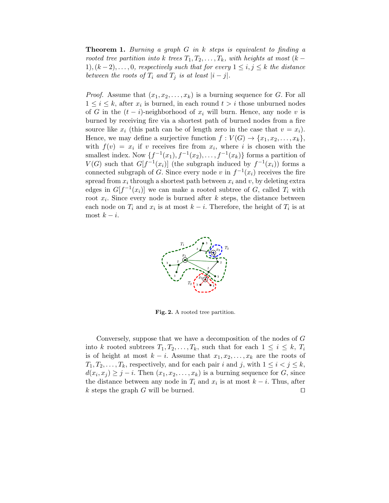**Theorem 1.** Burning a graph  $G$  in  $k$  steps is equivalent to finding a rooted tree partition into k trees  $T_1, T_2, \ldots, T_k$ , with heights at most  $(k -$ 1),  $(k-2), \ldots, 0$ , respectively such that for every  $1 \leq i, j \leq k$  the distance between the roots of  $T_i$  and  $T_j$  is at least  $|i-j|$ .

*Proof.* Assume that  $(x_1, x_2, \ldots, x_k)$  is a burning sequence for G. For all  $1 \leq i \leq k$ , after  $x_i$  is burned, in each round  $t > i$  those unburned nodes of G in the  $(t - i)$ -neighborhood of  $x_i$  will burn. Hence, any node v is burned by receiving fire via a shortest path of burned nodes from a fire source like  $x_i$  (this path can be of length zero in the case that  $v = x_i$ ). Hence, we may define a surjective function  $f: V(G) \to \{x_1, x_2, \ldots, x_k\},\$ with  $f(v) = x_i$  if v receives fire from  $x_i$ , where i is chosen with the smallest index. Now  $\{f^{-1}(x_1), f^{-1}(x_2), \ldots, f^{-1}(x_k)\}$  forms a partition of  $V(G)$  such that  $G[f^{-1}(x_i)]$  (the subgraph induced by  $f^{-1}(x_i)$ ) forms a connected subgraph of G. Since every node v in  $f^{-1}(x_i)$  receives the fire spread from  $x_i$  through a shortest path between  $x_i$  and v, by deleting extra edges in  $G[f^{-1}(x_i)]$  we can make a rooted subtree of G, called  $T_i$  with root  $x_i$ . Since every node is burned after k steps, the distance between each node on  $T_i$  and  $x_i$  is at most  $k - i$ . Therefore, the height of  $T_i$  is at most  $k - i$ .



Fig. 2. A rooted tree partition.

Conversely, suppose that we have a decomposition of the nodes of G into k rooted subtrees  $T_1, T_2, \ldots, T_k$ , such that for each  $1 \leq i \leq k$ ,  $T_i$ is of height at most  $k - i$ . Assume that  $x_1, x_2, \ldots, x_k$  are the roots of  $T_1, T_2, \ldots, T_k$ , respectively, and for each pair i and j, with  $1 \leq i < j \leq k$ ,  $d(x_i, x_j) \geq j - i$ . Then  $(x_1, x_2, \ldots, x_k)$  is a burning sequence for G, since the distance between any node in  $T_i$  and  $x_i$  is at most  $k - i$ . Thus, after k steps the graph G will be burned. □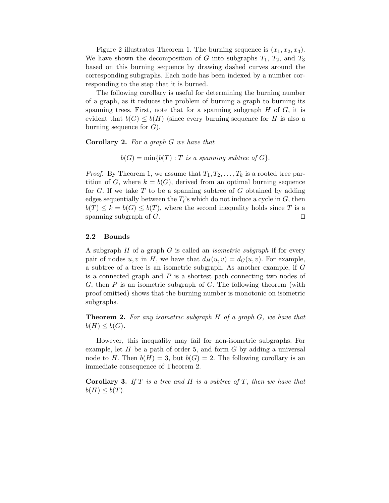Figure 2 illustrates Theorem 1. The burning sequence is  $(x_1, x_2, x_3)$ . We have shown the decomposition of G into subgraphs  $T_1$ ,  $T_2$ , and  $T_3$ based on this burning sequence by drawing dashed curves around the corresponding subgraphs. Each node has been indexed by a number corresponding to the step that it is burned.

The following corollary is useful for determining the burning number of a graph, as it reduces the problem of burning a graph to burning its spanning trees. First, note that for a spanning subgraph  $H$  of  $G$ , it is evident that  $b(G) \leq b(H)$  (since every burning sequence for H is also a burning sequence for  $G$ ).

Corollary 2. For a graph G we have that

 $b(G) = \min\{b(T) : T \text{ is a spanning subtree of } G\}.$ 

*Proof.* By Theorem 1, we assume that  $T_1, T_2, \ldots, T_k$  is a rooted tree partition of G, where  $k = b(G)$ , derived from an optimal burning sequence for  $G$ . If we take  $T$  to be a spanning subtree of  $G$  obtained by adding edges sequentially between the  $T_i$ 's which do not induce a cycle in  $G$ , then  $b(T) \leq k = b(G) \leq b(T)$ , where the second inequality holds since T is a spanning subgraph of  $G$ . □

## 2.2 Bounds

A subgraph  $H$  of a graph  $G$  is called an *isometric subgraph* if for every pair of nodes u, v in H, we have that  $d_H(u, v) = d_G(u, v)$ . For example, a subtree of a tree is an isometric subgraph. As another example, if G is a connected graph and  $P$  is a shortest path connecting two nodes of  $G$ , then  $P$  is an isometric subgraph of  $G$ . The following theorem (with proof omitted) shows that the burning number is monotonic on isometric subgraphs.

**Theorem 2.** For any isometric subgraph  $H$  of a graph  $G$ , we have that  $b(H) \leq b(G)$ .

However, this inequality may fail for non-isometric subgraphs. For example, let  $H$  be a path of order 5, and form  $G$  by adding a universal node to H. Then  $b(H) = 3$ , but  $b(G) = 2$ . The following corollary is an immediate consequence of Theorem 2.

**Corollary 3.** If  $T$  is a tree and  $H$  is a subtree of  $T$ , then we have that  $b(H) \leq b(T)$ .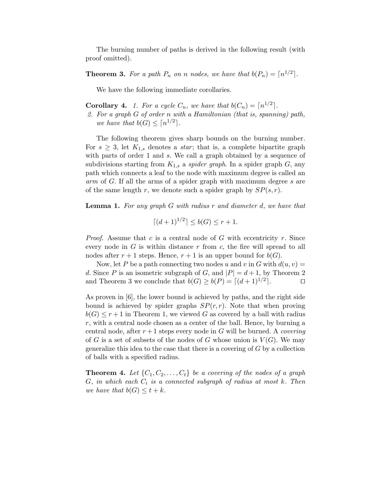The burning number of paths is derived in the following result (with proof omitted).

**Theorem 3.** For a path  $P_n$  on n nodes, we have that  $b(P_n) = \lceil n^{1/2} \rceil$ .

We have the following immediate corollaries.

**Corollary 4.** 1. For a cycle  $C_n$ , we have that  $b(C_n) = \lceil n^{1/2} \rceil$ .

2. For a graph G of order n with a Hamiltonian (that is, spanning) path, we have that  $b(G) \leq \lceil n^{1/2} \rceil$ .

The following theorem gives sharp bounds on the burning number. For  $s \geq 3$ , let  $K_{1,s}$  denotes a *star*; that is, a complete bipartite graph with parts of order 1 and s. We call a graph obtained by a sequence of subdivisions starting from  $K_{1,s}$  a *spider graph*. In a spider graph  $G$ , any path which connects a leaf to the node with maximum degree is called an arm of G. If all the arms of a spider graph with maximum degree s are of the same length r, we denote such a spider graph by  $SP(s, r)$ .

**Lemma 1.** For any graph G with radius r and diameter d, we have that

$$
\lceil (d+1)^{1/2} \rceil \le b(G) \le r+1.
$$

*Proof.* Assume that c is a central node of G with eccentricity r. Since every node in  $G$  is within distance  $r$  from  $c$ , the fire will spread to all nodes after  $r + 1$  steps. Hence,  $r + 1$  is an upper bound for  $b(G)$ .

Now, let P be a path connecting two nodes u and v in G with  $d(u, v) =$ d. Since P is an isometric subgraph of G, and  $|P| = d + 1$ , by Theorem 2 and Theorem 3 we conclude that  $b(G) \ge b(P) = \lfloor (d+1)^{1/2} \rfloor$ .

As proven in [6], the lower bound is achieved by paths, and the right side bound is achieved by spider graphs  $SP(r, r)$ . Note that when proving  $b(G) \leq r+1$  in Theorem 1, we viewed G as covered by a ball with radius  $r$ , with a central node chosen as a center of the ball. Hence, by burning a central node, after  $r+1$  steps every node in G will be burned. A *covering* of G is a set of subsets of the nodes of G whose union is  $V(G)$ . We may generalize this idea to the case that there is a covering of  $G$  by a collection of balls with a specified radius.

**Theorem 4.** Let  $\{C_1, C_2, \ldots, C_t\}$  be a covering of the nodes of a graph  $G$ , in which each  $C_i$  is a connected subgraph of radius at most  $k$ . Then we have that  $b(G) \leq t + k$ .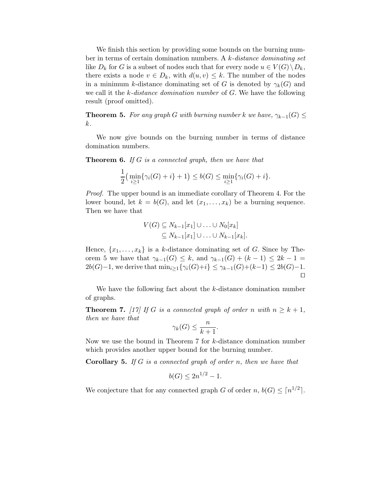We finish this section by providing some bounds on the burning number in terms of certain domination numbers. A k-distance dominating set like  $D_k$  for G is a subset of nodes such that for every node  $u \in V(G) \backslash D_k$ , there exists a node  $v \in D_k$ , with  $d(u, v) \leq k$ . The number of the nodes in a minimum k-distance dominating set of G is denoted by  $\gamma_k(G)$  and we call it the k-distance domination number of G. We have the following result (proof omitted).

**Theorem 5.** For any graph G with burning number k we have,  $\gamma_{k-1}(G) \leq$ k.

We now give bounds on the burning number in terms of distance domination numbers.

**Theorem 6.** If G is a connected graph, then we have that

$$
\frac{1}{2} \big( \min_{i \geq 1} \{ \gamma_i(G) + i \} + 1 \big) \leq b(G) \leq \min_{i \geq 1} \{ \gamma_i(G) + i \}.
$$

Proof. The upper bound is an immediate corollary of Theorem 4. For the lower bound, let  $k = b(G)$ , and let  $(x_1, \ldots, x_k)$  be a burning sequence. Then we have that

$$
V(G) \subseteq N_{k-1}[x_1] \cup \ldots \cup N_0[x_k]
$$
  

$$
\subseteq N_{k-1}[x_1] \cup \ldots \cup N_{k-1}[x_k].
$$

Hence,  $\{x_1, \ldots, x_k\}$  is a k-distance dominating set of G. Since by Theorem 5 we have that  $\gamma_{k-1}(G) \leq k$ , and  $\gamma_{k-1}(G) + (k-1) \leq 2k-1$  $2b(G)-1$ , we derive that  $\min_{i>1}{\{\gamma_i(G)+i\}} \leq \gamma_{k-1}(G)+(k-1) \leq 2b(G)-1$ . ⊓⊔

We have the following fact about the k-distance domination number of graphs.

**Theorem 7.** [17] If G is a connected graph of order n with  $n \geq k+1$ , then we have that

$$
\gamma_k(G) \le \frac{n}{k+1}.
$$

Now we use the bound in Theorem 7 for k-distance domination number which provides another upper bound for the burning number.

**Corollary 5.** If G is a connected graph of order n, then we have that

$$
b(G) \le 2n^{1/2} - 1.
$$

We conjecture that for any connected graph G of order  $n, b(G) \leq \lceil n^{1/2} \rceil$ .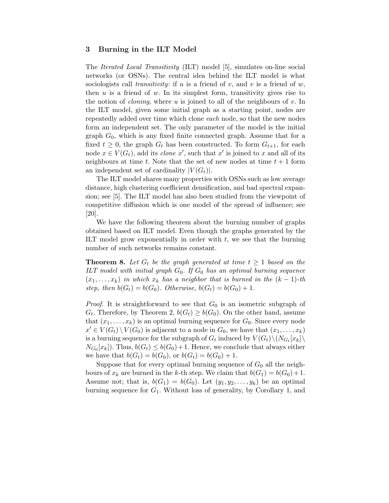## 3 Burning in the ILT Model

The Iterated Local Transitivity (ILT) model [5], simulates on-line social networks (or OSNs). The central idea behind the ILT model is what sociologists call *transitivity*: if u is a friend of v, and v is a friend of w, then  $u$  is a friend of  $w$ . In its simplest form, transitivity gives rise to the notion of *cloning*, where  $u$  is joined to all of the neighbours of  $v$ . In the ILT model, given some initial graph as a starting point, nodes are repeatedly added over time which clone each node, so that the new nodes form an independent set. The only parameter of the model is the initial graph  $G_0$ , which is any fixed finite connected graph. Assume that for a fixed  $t \geq 0$ , the graph  $G_t$  has been constructed. To form  $G_{t+1}$ , for each node  $x \in V(G_t)$ , add its *clone* x', such that x' is joined to x and all of its neighbours at time t. Note that the set of new nodes at time  $t + 1$  form an independent set of cardinality  $|V(G_t)|$ .

The ILT model shares many properties with OSNs such as low average distance, high clustering coefficient densification, and bad spectral expansion; see [5]. The ILT model has also been studied from the viewpoint of competitive diffusion which is one model of the spread of influence; see [20].

We have the following theorem about the burning number of graphs obtained based on ILT model. Even though the graphs generated by the ILT model grow exponentially in order with  $t$ , we see that the burning number of such networks remains constant.

**Theorem 8.** Let  $G_t$  be the graph generated at time  $t \geq 1$  based on the ILT model with initial graph  $G_0$ . If  $G_0$  has an optimal burning sequence  $(x_1, \ldots, x_k)$  in which  $x_k$  has a neighbor that is burned in the  $(k-1)$ -th step, then  $b(G_t) = b(G_0)$ . Otherwise,  $b(G_t) = b(G_0) + 1$ .

*Proof.* It is straightforward to see that  $G_0$  is an isometric subgraph of  $G_t$ . Therefore, by Theorem 2,  $b(G_t) \geq b(G_0)$ . On the other hand, assume that  $(x_1, \ldots, x_k)$  is an optimal burning sequence for  $G_0$ . Since every node  $x' \in V(G_t) \setminus V(G_0)$  is adjacent to a node in  $G_0$ , we have that  $(x_1, \ldots, x_k)$ is a burning sequence for the subgraph of  $G_t$  induced by  $V(G_t)\backslash (N_{G_t}[x_k]\backslash$  $N_{G_0}[x_k]$ ). Thus,  $b(G_t) \leq b(G_0)+1$ . Hence, we conclude that always either we have that  $b(G_t) = b(G_0)$ , or  $b(G_t) = b(G_0) + 1$ .

Suppose that for every optimal burning sequence of  $G_0$  all the neighbours of  $x_k$  are burned in the k-th step. We claim that  $b(G_1) = b(G_0) + 1$ . Assume not; that is,  $b(G_1) = b(G_0)$ . Let  $(y_1, y_2, \ldots, y_k)$  be an optimal burning sequence for  $G_1$ . Without loss of generality, by Corollary 1, and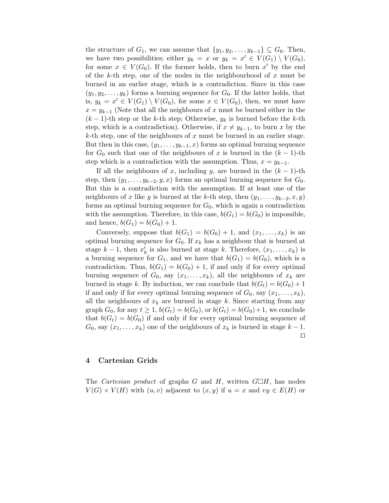the structure of  $G_1$ , we can assume that  $\{y_1, y_2, \ldots, y_{k-1}\} \subseteq G_0$ . Then, we have two possibilities; either  $y_k = x$  or  $y_k = x' \in V(G_1) \setminus V(G_0)$ , for some  $x \in V(G_0)$ . If the former holds, then to burn x' by the end of the k-th step, one of the nodes in the neighbourhood of  $x$  must be burned in an earlier stage, which is a contradiction. Since in this case  $(y_1, y_2, \ldots, y_k)$  forms a burning sequence for  $G_0$ . If the latter holds, that is,  $y_k = x' \in V(G_1) \setminus V(G_0)$ , for some  $x \in V(G_0)$ , then, we must have  $x = y_{k-1}$  (Note that all the neighbours of x must be burned either in the  $(k-1)$ -th step or the k-th step; Otherwise,  $y_k$  is burned before the k-th step, which is a contradiction). Otherwise, if  $x \neq y_{k-1}$ , to burn x by the  $k$ -th step, one of the neighbours of x must be burned in an earlier stage. But then in this case,  $(y_1, \ldots, y_{k-1}, x)$  forms an optimal burning sequence for  $G_0$  such that one of the neighbours of x is burned in the  $(k-1)$ -th step which is a contradiction with the assumption. Thus,  $x = y_{k-1}$ .

If all the neighbours of x, including y, are burned in the  $(k-1)$ -th step, then  $(y_1, \ldots, y_{k-2}, y, x)$  forms an optimal burning sequence for  $G_0$ . But this is a contradiction with the assumption. If at least one of the neighbours of x like y is burned at the k-th step, then  $(y_1, \ldots, y_{k-2}, x, y)$ forms an optimal burning sequence for  $G_0$ , which is again a contradiction with the assumption. Therefore, in this case,  $b(G_1) = b(G_0)$  is impossible, and hence,  $b(G_1) = b(G_0) + 1$ .

Conversely, suppose that  $b(G_1) = b(G_0) + 1$ , and  $(x_1, \ldots, x_k)$  is an optimal burning sequence for  $G_0$ . If  $x_k$  has a neighbour that is burned at stage  $k-1$ , then  $x'_k$  is also burned at stage k. Therefore,  $(x_1, \ldots, x_k)$  is a burning sequence for  $G_1$ , and we have that  $b(G_1) = b(G_0)$ , which is a contradiction. Thus,  $b(G_1) = b(G_0) + 1$ , if and only if for every optimal burning sequence of  $G_0$ , say  $(x_1, \ldots, x_k)$ , all the neighbours of  $x_k$  are burned in stage k. By induction, we can conclude that  $b(G_t) = b(G_0) + 1$ if and only if for every optimal burning sequence of  $G_0$ , say  $(x_1, \ldots, x_k)$ , all the neighbours of  $x_k$  are burned in stage k. Since starting from any graph  $G_0$ , for any  $t \geq 1$ ,  $b(G_t) = b(G_0)$ , or  $b(G_t) = b(G_0) + 1$ , we conclude that  $b(G_t) = b(G_0)$  if and only if for every optimal burning sequence of  $G_0$ , say  $(x_1, \ldots, x_k)$  one of the neighbours of  $x_k$  is burned in stage  $k-1$ . ⊓⊔

# 4 Cartesian Grids

The *Cartesian product* of graphs G and H, written  $G\Box H$ , has nodes  $V(G) \times V(H)$  with  $(u, v)$  adjacent to  $(x, y)$  if  $u = x$  and  $vy \in E(H)$  or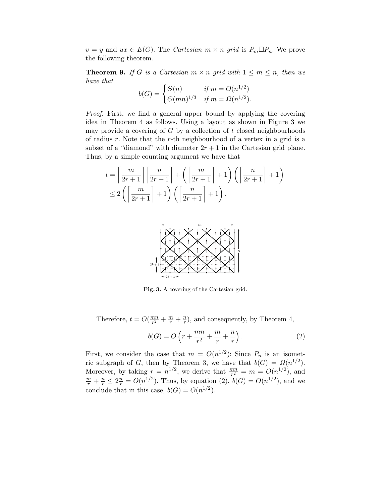$v = y$  and  $ux \in E(G)$ . The *Cartesian*  $m \times n$  grid is  $P_m \Box P_n$ . We prove the following theorem.

**Theorem 9.** If G is a Cartesian  $m \times n$  grid with  $1 \leq m \leq n$ , then we have that

$$
b(G) = \begin{cases} \Theta(n) & \text{if } m = O(n^{1/2}) \\ \Theta(mn)^{1/3} & \text{if } m = \Omega(n^{1/2}). \end{cases}
$$

Proof. First, we find a general upper bound by applying the covering idea in Theorem 4 as follows. Using a layout as shown in Figure 3 we may provide a covering of  $G$  by a collection of  $t$  closed neighbourhoods of radius  $r$ . Note that the  $r$ -th neighbourhood of a vertex in a grid is a subset of a "diamond" with diameter  $2r + 1$  in the Cartesian grid plane. Thus, by a simple counting argument we have that

$$
t = \left\lceil \frac{m}{2r+1} \right\rceil \left\lceil \frac{n}{2r+1} \right\rceil + \left( \left\lceil \frac{m}{2r+1} \right\rceil + 1 \right) \left( \left\lceil \frac{n}{2r+1} \right\rceil + 1 \right)
$$
  

$$
\leq 2 \left( \left\lceil \frac{m}{2r+1} \right\rceil + 1 \right) \left( \left\lceil \frac{n}{2r+1} \right\rceil + 1 \right).
$$



Fig. 3. A covering of the Cartesian grid.

Therefore,  $t = O(\frac{mn}{r^2})$  $\frac{nn}{r^2} + \frac{m}{r} + \frac{n}{r}$  $\frac{n}{r}$ ), and consequently, by Theorem 4,

$$
b(G) = O\left(r + \frac{mn}{r^2} + \frac{m}{r} + \frac{n}{r}\right). \tag{2}
$$

First, we consider the case that  $m = O(n^{1/2})$ : Since  $P_n$  is an isometric subgraph of G, then by Theorem 3, we have that  $b(G) = \Omega(n^{1/2})$ . Moreover, by taking  $r = n^{1/2}$ , we derive that  $\frac{mn}{r^2} = m = O(n^{1/2})$ , and  $\frac{m}{r} + \frac{n}{r} \leq 2\frac{n}{r} = O(n^{1/2})$ . Thus, by equation (2),  $b(G) = O(n^{1/2})$ , and we conclude that in this case,  $b(G) = \Theta(n^{1/2})$ .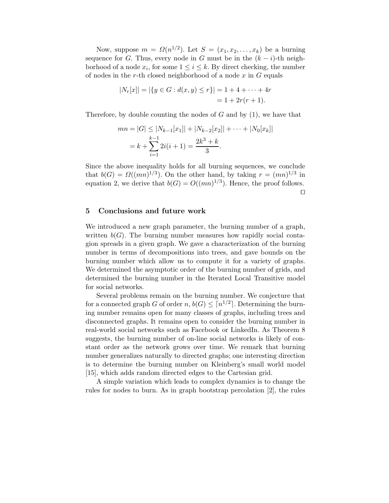Now, suppose  $m = \Omega(n^{1/2})$ . Let  $S = (x_1, x_2, \ldots, x_k)$  be a burning sequence for G. Thus, every node in G must be in the  $(k - i)$ -th neighborhood of a node  $x_i$ , for some  $1 \leq i \leq k$ . By direct checking, the number of nodes in the r-th closed neighborhood of a node  $x$  in  $G$  equals

$$
|N_r[x]| = |\{y \in G : d(x, y) \le r\}| = 1 + 4 + \dots + 4r
$$
  
= 1 + 2r(r + 1).

Therefore, by double counting the nodes of  $G$  and by  $(1)$ , we have that

$$
mn = |G| \le |N_{k-1}[x_1]| + |N_{k-2}[x_2]| + \dots + |N_0[x_k]|
$$
  
=  $k + \sum_{i=1}^{k-1} 2i(i+1) = \frac{2k^3 + k}{3}$ .

Since the above inequality holds for all burning sequences, we conclude that  $b(G) = \Omega((mn)^{1/3})$ . On the other hand, by taking  $r = (mn)^{1/3}$  in equation 2, we derive that  $b(G) = O((mn)^{1/3})$ . Hence, the proof follows. ⊓⊔

#### 5 Conclusions and future work

We introduced a new graph parameter, the burning number of a graph, written  $b(G)$ . The burning number measures how rapidly social contagion spreads in a given graph. We gave a characterization of the burning number in terms of decompositions into trees, and gave bounds on the burning number which allow us to compute it for a variety of graphs. We determined the asymptotic order of the burning number of grids, and determined the burning number in the Iterated Local Transitive model for social networks.

Several problems remain on the burning number. We conjecture that for a connected graph G of order  $n, b(G) \leq \lceil n^{1/2} \rceil$ . Determining the burning number remains open for many classes of graphs, including trees and disconnected graphs. It remains open to consider the burning number in real-world social networks such as Facebook or LinkedIn. As Theorem 8 suggests, the burning number of on-line social networks is likely of constant order as the network grows over time. We remark that burning number generalizes naturally to directed graphs; one interesting direction is to determine the burning number on Kleinberg's small world model [15], which adds random directed edges to the Cartesian grid.

A simple variation which leads to complex dynamics is to change the rules for nodes to burn. As in graph bootstrap percolation [2], the rules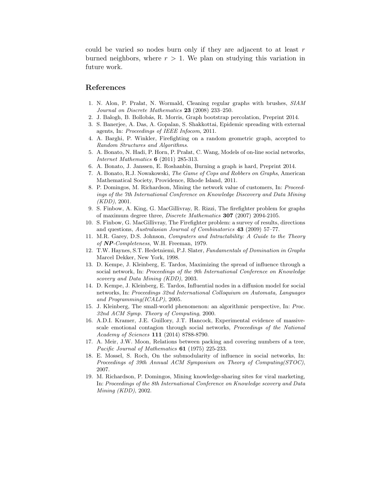could be varied so nodes burn only if they are adjacent to at least  $r$ burned neighbors, where  $r > 1$ . We plan on studying this variation in future work.

## References

- 1. N. Alon, P. Pra lat, N. Wormald, Cleaning regular graphs with brushes, *SIAM Journal on Discrete Mathematics* 23 (2008) 233–250.
- 2. J. Balogh, B. Bollob´as, R. Morris, Graph bootstrap percolation, Preprint 2014.
- 3. S. Banerjee, A. Das, A. Gopalan, S. Shakkottai, Epidemic spreading with external agents, In: *Proceedings of IEEE Infocom*, 2011.
- 4. A. Barghi, P. Winkler, Firefighting on a random geometric graph, accepted to *Random Structures and Algorithms*.
- 5. A. Bonato, N. Hadi, P. Horn, P. Pralat, C. Wang, Models of on-line social networks, *Internet Mathematics* 6 (2011) 285-313.
- 6. A. Bonato, J. Janssen, E. Roshanbin, Burning a graph is hard, Preprint 2014.
- 7. A. Bonato, R.J. Nowakowski, *The Game of Cops and Robbers on Graphs*, American Mathematical Society, Providence, Rhode Island, 2011.
- 8. P. Domingos, M. Richardson, Mining the network value of customers, In: *Proceedings of the 7th International Conference on Knowledge Discovery and Data Mining (KDD)*, 2001.
- 9. S. Finbow, A. King, G. MacGillivray, R. Rizzi, The firefighter problem for graphs of maximum degree three, *Discrete Mathematics* 307 (2007) 2094-2105.
- 10. S. Finbow, G. MacGillivray, The Firefighter problem: a survey of results, directions and questions, *Australasian Journal of Combinatorics* 43 (2009) 57–77.
- 11. M.R. Garey, D.S. Johnson, *Computers and Intractability: A Guide to the Theory of* NP*-Completeness*, W.H. Freeman, 1979.
- 12. T.W. Haynes, S.T. Hedetniemi, P.J. Slater, *Fundamentals of Domination in Graphs* Marcel Dekker, New York, 1998.
- 13. D. Kempe, J. Kleinberg, E. Tardos, Maximizing the spread of influence through a social network, In: *Proceedings of the 9th International Conference on Knowledge scovery and Data Mining (KDD)*, 2003.
- 14. D. Kempe, J. Kleinberg, E. Tardos, Influential nodes in a diffusion model for social networks, In: *Proceedings 32nd International Colloquium on Automata, Languages and Programming(ICALP)*, 2005.
- 15. J. Kleinberg, The small-world phenomenon: an algorithmic perspective, In: *Proc. 32nd ACM Symp. Theory of Computing*, 2000.
- 16. A.D.I. Kramer, J.E. Guillory, J.T. Hancock, Experimental evidence of massivescale emotional contagion through social networks, *Proceedings of the National Academy of Sciences* 111 (2014) 8788-8790.
- 17. A. Meir, J.W. Moon, Relations between packing and covering numbers of a tree, *Pacific Journal of Mathematics* 61 (1975) 225-233.
- 18. E. Mossel, S. Roch, On the submodularity of influence in social networks, In: *Proceedings of 39th Annual ACM Symposium on Theory of Computing(STOC)*, 2007.
- 19. M. Richardson, P. Domingos, Mining knowledge-sharing sites for viral marketing, In: *Proceedings of the 8th International Conference on Knowledge scovery and Data Mining (KDD)*, 2002.